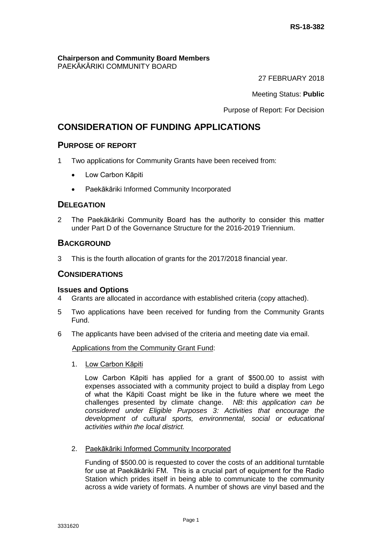#### **Chairperson and Community Board Members** PAEKĀKĀRIKI COMMUNITY BOARD

27 FEBRUARY 2018

Meeting Status: **Public**

Purpose of Report: For Decision

# **CONSIDERATION OF FUNDING APPLICATIONS**

# **PURPOSE OF REPORT**

- 1 Two applications for Community Grants have been received from:
	- Low Carbon Kāpiti
	- Paekākāriki Informed Community Incorporated

# **DELEGATION**

2 The Paekākāriki Community Board has the authority to consider this matter under Part D of the Governance Structure for the 2016-2019 Triennium.

# **BACKGROUND**

3 This is the fourth allocation of grants for the 2017/2018 financial year.

### **CONSIDERATIONS**

### **Issues and Options**

- 4 Grants are allocated in accordance with established criteria (copy attached).
- 5 Two applications have been received for funding from the Community Grants Fund.
- 6 The applicants have been advised of the criteria and meeting date via email.

Applications from the Community Grant Fund:

1. Low Carbon Kāpiti

Low Carbon Kāpiti has applied for a grant of \$500.00 to assist with expenses associated with a community project to build a display from Lego of what the Kāpiti Coast might be like in the future where we meet the challenges presented by climate change. *NB: this application can be considered under Eligible Purposes 3: Activities that encourage the development of cultural sports, environmental, social or educational activities within the local district.* 

2. Paekākāriki Informed Community Incorporated

Funding of \$500.00 is requested to cover the costs of an additional turntable for use at Paekākāriki FM. This is a crucial part of equipment for the Radio Station which prides itself in being able to communicate to the community across a wide variety of formats. A number of shows are vinyl based and the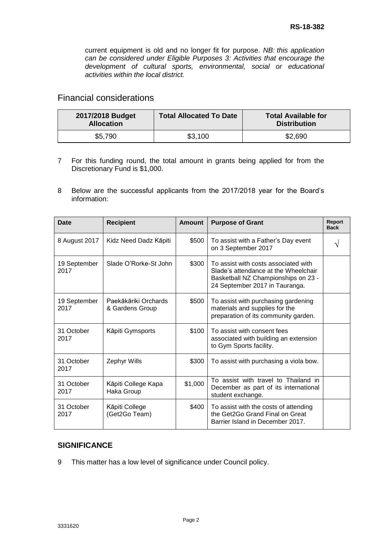current equipment is old and no longer fit for purpose. *NB: this application can be considered under Eligible Purposes 3: Activities that encourage the development of cultural sports, environmental, social or educational activities within the local district.* 

# Financial considerations

| 2017/2018 Budget<br><b>Allocation</b> | <b>Total Allocated To Date</b> | <b>Total Available for</b><br><b>Distribution</b> |
|---------------------------------------|--------------------------------|---------------------------------------------------|
| \$5,790                               | \$3,100                        | \$2,690                                           |

- 7 For this funding round, the total amount in grants being applied for from the Discretionary Fund is \$1,000.
- 8 Below are the successful applicants from the 2017/2018 year for the Board's information:

| Date                 | <b>Recipient</b>                        | <b>Amount</b> | <b>Purpose of Grant</b>                                                                                                                               | Report<br><b>Back</b> |
|----------------------|-----------------------------------------|---------------|-------------------------------------------------------------------------------------------------------------------------------------------------------|-----------------------|
| 8 August 2017        | Kidz Need Dadz Kāpiti                   | \$500         | To assist with a Father's Day event<br>on 3 September 2017                                                                                            |                       |
| 19 September<br>2017 | Slade O'Rorke-St John                   | \$300         | To assist with costs associated with<br>Slade's attendance at the Wheelchair<br>Basketball NZ Championships on 23 -<br>24 September 2017 in Tauranga. |                       |
| 19 September<br>2017 | Paekākāriki Orchards<br>& Gardens Group | \$500         | To assist with purchasing gardening<br>materials and supplies for the<br>preparation of its community garden.                                         |                       |
| 31 October<br>2017   | Kāpiti Gymsports                        | \$100         | To assist with consent fees<br>associated with building an extension<br>to Gym Sports facility.                                                       |                       |
| 31 October<br>2017   | <b>Zephyr Wills</b>                     | \$300         | To assist with purchasing a viola bow.                                                                                                                |                       |
| 31 October<br>2017   | Kāpiti College Kapa<br>Haka Group       | \$1,000       | To assist with travel to Thailand in<br>December as part of its international<br>student exchange.                                                    |                       |
| 31 October<br>2017   | Kāpiti College<br>(Get2Go Team)         | \$400         | To assist with the costs of attending<br>the Get2Go Grand Final on Great<br>Barrier Island in December 2017.                                          |                       |

### **SIGNIFICANCE**

9 This matter has a low level of significance under Council policy.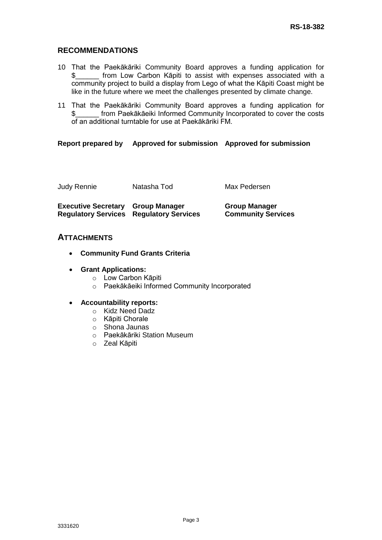# **RECOMMENDATIONS**

- 10 That the Paekākāriki Community Board approves a funding application for \$\_\_\_\_\_\_ from Low Carbon Kāpiti to assist with expenses associated with a community project to build a display from Lego of what the Kāpiti Coast might be like in the future where we meet the challenges presented by climate change.
- 11 That the Paekākāriki Community Board approves a funding application for \$\_\_\_\_\_\_ from Paekākāeiki Informed Community Incorporated to cover the costs of an additional turntable for use at Paekākāriki FM.

### **Report prepared by Approved for submission Approved for submission**

| Judy Rennie                              | Natasha Tod                                    | Max Pedersen                                      |
|------------------------------------------|------------------------------------------------|---------------------------------------------------|
| <b>Executive Secretary Group Manager</b> | <b>Regulatory Services Regulatory Services</b> | <b>Group Manager</b><br><b>Community Services</b> |

# **ATTACHMENTS**

- **Community Fund Grants Criteria**
- **Grant Applications:**
	- o Low Carbon Kāpiti
	- o Paekākāeiki Informed Community Incorporated

### **Accountability reports:**

- o Kidz Need Dadz
- o Kāpiti Chorale
- o Shona Jaunas
- o Paekākāriki Station Museum
- o Zeal Kāpiti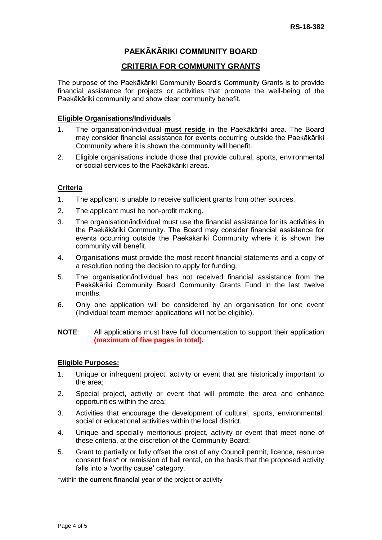# **PAEKĀKĀRIKI COMMUNITY BOARD**

# **CRITERIA FOR COMMUNITY GRANTS**

The purpose of the Paekākāriki Community Board's Community Grants is to provide financial assistance for projects or activities that promote the well-being of the Paekākāriki community and show clear community benefit.

### **Eligible Organisations/Individuals**

- 1. The organisation/individual **must reside** in the Paekākāriki area. The Board may consider financial assistance for events occurring outside the Paekākāriki Community where it is shown the community will benefit.
- 2. Eligible organisations include those that provide cultural, sports, environmental or social services to the Paekākāriki areas.

### **Criteria**

- 1. The applicant is unable to receive sufficient grants from other sources.
- 2. The applicant must be non-profit making.
- 3. The organisation/individual must use the financial assistance for its activities in the Paekākāriki Community. The Board may consider financial assistance for events occurring outside the Paekākāriki Community where it is shown the community will benefit.
- 4. Organisations must provide the most recent financial statements and a copy of a resolution noting the decision to apply for funding.
- 5. The organisation/individual has not received financial assistance from the Paekākāriki Community Board Community Grants Fund in the last twelve months.
- 6. Only one application will be considered by an organisation for one event (Individual team member applications will not be eligible).

### **NOTE**: All applications must have full documentation to support their application **(maximum of five pages in total).**

### **Eligible Purposes:**

- 1. Unique or infrequent project, activity or event that are historically important to the area;
- 2. Special project, activity or event that will promote the area and enhance opportunities within the area;
- 3. Activities that encourage the development of cultural, sports, environmental, social or educational activities within the local district.
- 4. Unique and specially meritorious project, activity or event that meet none of these criteria, at the discretion of the Community Board;
- 5. Grant to partially or fully offset the cost of any Council permit, licence, resource consent fees\* or remission of hall rental, on the basis that the proposed activity falls into a 'worthy cause' category.

\*within **the current financial year** of the project or activity